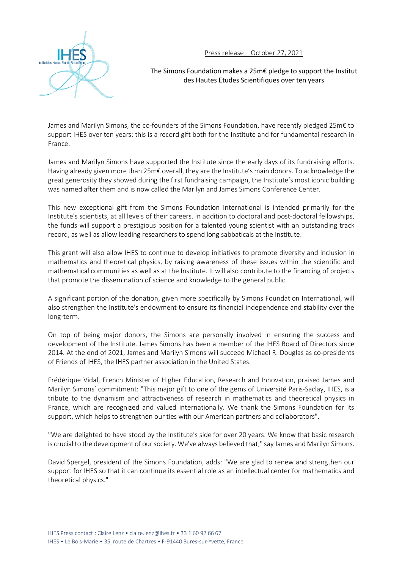

## Press release – October 27, 2021

The Simons Foundation makes a 25m€ pledge to support the Institut des Hautes Etudes Scientifiques over ten years

James and Marilyn Simons, the co-founders of the Simons Foundation, have recently pledged 25m€ to support IHES over ten years: this is a record gift both for the Institute and for fundamental research in France.

James and Marilyn Simons have supported the Institute since the early days of its fundraising efforts. Having already given more than 25m€ overall, they are the Institute's main donors. To acknowledge the great generosity they showed during the first fundraising campaign, the Institute's most iconic building was named after them and is now called the Marilyn and James Simons Conference Center.

This new exceptional gift from the Simons Foundation International is intended primarily for the Institute's scientists, at all levels of their careers. In addition to doctoral and post-doctoral fellowships, the funds will support a prestigious position for a talented young scientist with an outstanding track record, as well as allow leading researchers to spend long sabbaticals at the Institute.

This grant will also allow IHES to continue to develop initiatives to promote diversity and inclusion in mathematics and theoretical physics, by raising awareness of these issues within the scientific and mathematical communities as well as at the Institute. It will also contribute to the financing of projects that promote the dissemination of science and knowledge to the general public.

A significant portion of the donation, given more specifically by Simons Foundation International, will also strengthen the Institute's endowment to ensure its financial independence and stability over the long-term.

On top of being major donors, the Simons are personally involved in ensuring the success and development of the Institute. James Simons has been a member of the IHES Board of Directors since 2014. At the end of 2021, James and Marilyn Simons will succeed Michael R. Douglas as co-presidents of Friends of IHES, the IHES partner association in the United States.

Frédérique Vidal, French Minister of Higher Education, Research and Innovation, praised James and Marilyn Simons' commitment: "This major gift to one of the gems of Université Paris-Saclay, IHES, is a tribute to the dynamism and attractiveness of research in mathematics and theoretical physics in France, which are recognized and valued internationally. We thank the Simons Foundation for its support, which helps to strengthen our ties with our American partners and collaborators".

"We are delighted to have stood by the Institute's side for over 20 years. We know that basic research is crucial to the development of our society. We've always believed that," say James and Marilyn Simons.

David Spergel, president of the Simons Foundation, adds: "We are glad to renew and strengthen our support for IHES so that it can continue its essential role as an intellectual center for mathematics and theoretical physics."